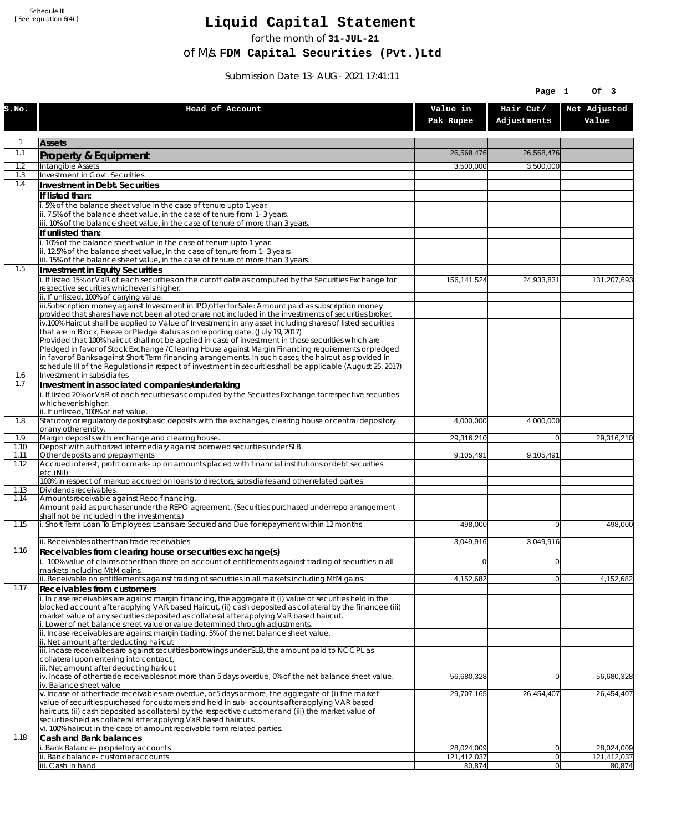Schedule III [ See regulation 6(4) ]

## **Liquid Capital Statement**

for the month of **31-JUL-21**

of M/s. **FDM Capital Securities (Pvt.)Ltd**

Submission Date 13-AUG-2021 17:41:11

|             |                                                                                                                                                                                                                        |                           | Page 1                   | Of 3                      |
|-------------|------------------------------------------------------------------------------------------------------------------------------------------------------------------------------------------------------------------------|---------------------------|--------------------------|---------------------------|
| S.NO.       | Head of Account                                                                                                                                                                                                        | Value in<br>Pak Rupee     | Hair Cut/<br>Adjustments | Net Adjusted<br>Value     |
| 1           | <b>Assets</b>                                                                                                                                                                                                          |                           |                          |                           |
| 1.1         | Property & Equipment                                                                                                                                                                                                   | 26,568,476                | 26,568,476               |                           |
| 1.2         | Intangible Assets                                                                                                                                                                                                      | 3,500,000                 | 3,500,000                |                           |
| 1.3<br>1.4  | Investment in Govt. Securities<br>Investment in Debt. Securities                                                                                                                                                       |                           |                          |                           |
|             | If listed than:                                                                                                                                                                                                        |                           |                          |                           |
|             | 5% of the balance sheet value in the case of tenure upto 1 year.                                                                                                                                                       |                           |                          |                           |
|             | ii. 7.5% of the balance sheet value, in the case of tenure from 1-3 years.<br>iii. 10% of the balance sheet value, in the case of tenure of more than 3 years.                                                         |                           |                          |                           |
|             | If unlisted than:                                                                                                                                                                                                      |                           |                          |                           |
|             | i. 10% of the balance sheet value in the case of tenure upto 1 year.                                                                                                                                                   |                           |                          |                           |
|             | ii. 12.5% of the balance sheet value, in the case of tenure from 1-3 years.<br>iii. 15% of the balance sheet value, in the case of tenure of more than 3 years.                                                        |                           |                          |                           |
| 1.5         | Investment in Equity Securities                                                                                                                                                                                        |                           |                          |                           |
|             | i. If listed 15% or VaR of each securities on the cutoff date as computed by the Securities Exchange for                                                                                                               | 156,141,524               | 24,933,831               | 131,207,693               |
|             | respective securities whichever is higher.<br>ii. If unlisted, 100% of carrying value.                                                                                                                                 |                           |                          |                           |
|             | iii.Subscription money against Investment in IPO/offer for Sale: Amount paid as subscription money                                                                                                                     |                           |                          |                           |
|             | provided that shares have not been alloted or are not included in the investments of securities broker.                                                                                                                |                           |                          |                           |
|             | iv.100% Haircut shall be applied to Value of Investment in any asset including shares of listed securities<br>that are in Block, Freeze or Pledge status as on reporting date. (July 19, 2017)                         |                           |                          |                           |
|             | Provided that 100% haircut shall not be applied in case of investment in those securities which are                                                                                                                    |                           |                          |                           |
|             | Pledged in favor of Stock Exchange / Clearing House against Margin Financing reguirements or pledged<br>in favor of Banks against Short Term financing arrangements. In such cases, the haircut as provided in         |                           |                          |                           |
|             | schedule III of the Regulations in respect of investment in securities shall be applicable (August 25, 2017)                                                                                                           |                           |                          |                           |
| 1.6<br>1.7  | Investment in subsidiaries                                                                                                                                                                                             |                           |                          |                           |
|             | Investment in associated companies/undertaking<br>i. If listed 20% or VaR of each securities as computed by the Securites Exchange for respective securities                                                           |                           |                          |                           |
|             | whichever is higher.                                                                                                                                                                                                   |                           |                          |                           |
| 1.8         | ii. If unlisted, 100% of net value.<br>Statutory or regulatory deposits/basic deposits with the exchanges, clearing house or central depository                                                                        | 4,000,000                 | 4,000,000                |                           |
|             | or any other entity.                                                                                                                                                                                                   |                           |                          |                           |
| 1.9<br>1.10 | Margin deposits with exchange and clearing house.<br>Deposit with authorized intermediary against borrowed securities under SLB.                                                                                       | 29,316,210                | $\overline{0}$           | 29,316,210                |
| 1.11        | Other deposits and prepayments                                                                                                                                                                                         | 9,105,491                 | 9,105,491                |                           |
| 1.12        | Accrued interest, profit or mark-up on amounts placed with financial institutions or debt securities<br>etc.(Nil)                                                                                                      |                           |                          |                           |
| 1.13        | 100% in respect of markup accrued on loans to directors, subsidiaries and other related parties<br>Dividends receivables.                                                                                              |                           |                          |                           |
| 1.14        | Amounts receivable against Repo financing.                                                                                                                                                                             |                           |                          |                           |
|             | Amount paid as purchaser under the REPO agreement. (Securities purchased under repo arrangement<br>shall not be included in the investments.)                                                                          |                           |                          |                           |
| 1.15        | i. Short Term Loan To Employees: Loans are Secured and Due for repayment within 12 months                                                                                                                              | 498,000                   | $\Omega$                 | 498,000                   |
|             | ii. Receivables other than trade receivables                                                                                                                                                                           | 3,049,916                 | 3,049,916                |                           |
| 1.16        | Receivables from clearing house or securities exchange(s)                                                                                                                                                              |                           |                          |                           |
|             | i. 100% value of claims other than those on account of entitlements against trading of securities in all                                                                                                               | $\overline{0}$            | 0                        |                           |
|             | markets including MtM gains.<br>ii. Receivable on entitlements against trading of securities in all markets including MtM gains.                                                                                       | 4,152,682                 | 0                        | 4,152,682                 |
| 1.17        | Receivables from customers                                                                                                                                                                                             |                           |                          |                           |
|             | i. In case receivables are against margin financing, the aggregate if (i) value of securities held in the<br>blocked account after applying VAR based Haircut, (ii) cash deposited as collateral by the financee (iii) |                           |                          |                           |
|             | market value of any securities deposited as collateral after applying VaR based haircut.                                                                                                                               |                           |                          |                           |
|             | i. Lower of net balance sheet value or value determined through adjustments.<br>ii. Incase receivables are against margin trading, 5% of the net balance sheet value.                                                  |                           |                          |                           |
|             | ii. Net amount after deducting haircut                                                                                                                                                                                 |                           |                          |                           |
|             | iii. Incase receivalbes are against securities borrowings under SLB, the amount paid to NCCPL as                                                                                                                       |                           |                          |                           |
|             | collateral upon entering into contract,<br>iii. Net amount after deducting haricut                                                                                                                                     |                           |                          |                           |
|             | iv. Incase of other trade receivables not more than 5 days overdue, 0% of the net balance sheet value.                                                                                                                 | 56,680,328                | $\overline{0}$           | 56,680,328                |
|             | iv. Balance sheet value<br>v. Incase of other trade receivables are overdue, or 5 days or more, the aggregate of (i) the market                                                                                        | 29,707,165                | 26,454,407               | 26,454,407                |
|             | value of securities purchased for customers and held in sub-accounts after applying VAR based                                                                                                                          |                           |                          |                           |
|             | haircuts, (ii) cash deposited as collateral by the respective customer and (iii) the market value of<br>securities held as collateral after applying VaR based haircuts.                                               |                           |                          |                           |
|             | vi. 100% haircut in the case of amount receivable form related parties.                                                                                                                                                |                           |                          |                           |
| 1.18        | Cash and Bank balances                                                                                                                                                                                                 |                           |                          |                           |
|             | i. Bank Balance-proprietory accounts<br>Bank balance-customer accounts                                                                                                                                                 | 28,024,009<br>121,412,037 | 0 <br> 0                 | 28,024,009<br>121,412,037 |
|             | iii. Cash in hand                                                                                                                                                                                                      | 80,874                    | 0                        | 80,874                    |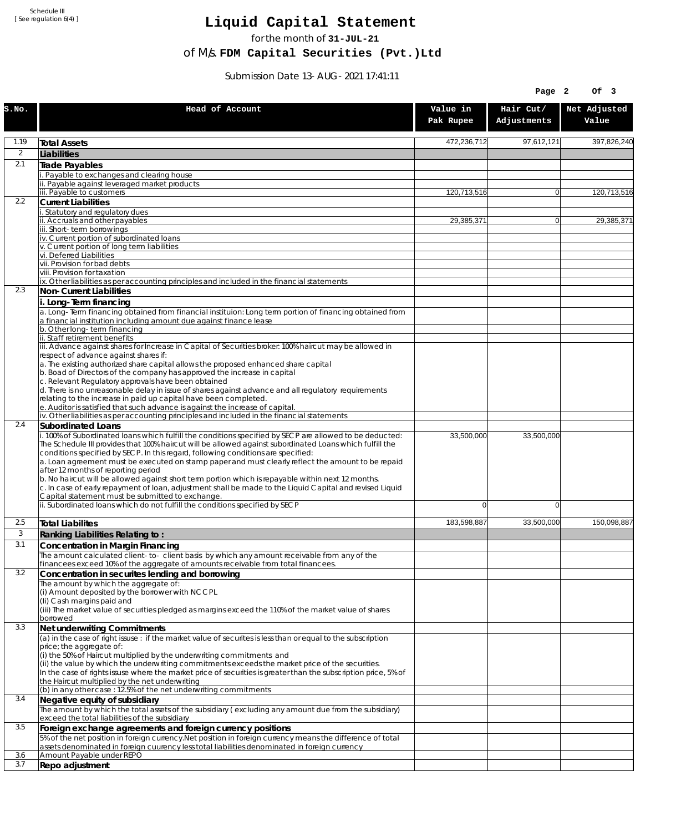Schedule III [ See regulation 6(4) ]

## **Liquid Capital Statement**

for the month of **31-JUL-21**

of M/s. **FDM Capital Securities (Pvt.)Ltd**

Submission Date 13-AUG-2021 17:41:11

|                |                                                                                                                                                                                                                                                                                                                                                                                                                                                                                                                                                                                                                                                                                                                             |                       | Page 2                   | Of 3                  |
|----------------|-----------------------------------------------------------------------------------------------------------------------------------------------------------------------------------------------------------------------------------------------------------------------------------------------------------------------------------------------------------------------------------------------------------------------------------------------------------------------------------------------------------------------------------------------------------------------------------------------------------------------------------------------------------------------------------------------------------------------------|-----------------------|--------------------------|-----------------------|
| S.NO.          | Head of Account                                                                                                                                                                                                                                                                                                                                                                                                                                                                                                                                                                                                                                                                                                             | Value in<br>Pak Rupee | Hair Cut/<br>Adjustments | Net Adjusted<br>Value |
| 1.19           | <b>Total Assets</b>                                                                                                                                                                                                                                                                                                                                                                                                                                                                                                                                                                                                                                                                                                         | 472,236,712           | 97,612,121               | 397,826,240           |
| $\overline{2}$ | Liabilities                                                                                                                                                                                                                                                                                                                                                                                                                                                                                                                                                                                                                                                                                                                 |                       |                          |                       |
| 2.1            | <b>Trade Payables</b>                                                                                                                                                                                                                                                                                                                                                                                                                                                                                                                                                                                                                                                                                                       |                       |                          |                       |
|                | Payable to exchanges and clearing house<br>Payable against leveraged market products                                                                                                                                                                                                                                                                                                                                                                                                                                                                                                                                                                                                                                        |                       |                          |                       |
|                | iii. Payable to customers                                                                                                                                                                                                                                                                                                                                                                                                                                                                                                                                                                                                                                                                                                   | 120,713,516           | $\overline{0}$           | 120,713,516           |
| 2.2            | <b>Current Liabilities</b>                                                                                                                                                                                                                                                                                                                                                                                                                                                                                                                                                                                                                                                                                                  |                       |                          |                       |
|                | Statutory and regulatory dues<br>ii. Accruals and other payables                                                                                                                                                                                                                                                                                                                                                                                                                                                                                                                                                                                                                                                            | 29,385,371            | $\overline{0}$           | 29,385,371            |
|                | iii. Short-term borrowinas                                                                                                                                                                                                                                                                                                                                                                                                                                                                                                                                                                                                                                                                                                  |                       |                          |                       |
|                | iv. Current portion of subordinated loans<br>v. Current portion of long term liabilities                                                                                                                                                                                                                                                                                                                                                                                                                                                                                                                                                                                                                                    |                       |                          |                       |
|                | vi. Deferred Liabilities                                                                                                                                                                                                                                                                                                                                                                                                                                                                                                                                                                                                                                                                                                    |                       |                          |                       |
|                | vii. Provision for bad debts                                                                                                                                                                                                                                                                                                                                                                                                                                                                                                                                                                                                                                                                                                |                       |                          |                       |
|                | viii. Provision for taxation<br>ix. Other liabilities as per accounting principles and included in the financial statements                                                                                                                                                                                                                                                                                                                                                                                                                                                                                                                                                                                                 |                       |                          |                       |
| 2.3            | Non-Current Liabilities                                                                                                                                                                                                                                                                                                                                                                                                                                                                                                                                                                                                                                                                                                     |                       |                          |                       |
|                | i. Long-Term financing                                                                                                                                                                                                                                                                                                                                                                                                                                                                                                                                                                                                                                                                                                      |                       |                          |                       |
|                | a. Long-Term financing obtained from financial instituion: Long term portion of financing obtained from<br>a financial institution including amount due against finance lease                                                                                                                                                                                                                                                                                                                                                                                                                                                                                                                                               |                       |                          |                       |
|                | b. Other long-term financing                                                                                                                                                                                                                                                                                                                                                                                                                                                                                                                                                                                                                                                                                                |                       |                          |                       |
|                | ii. Staff retirement benefits                                                                                                                                                                                                                                                                                                                                                                                                                                                                                                                                                                                                                                                                                               |                       |                          |                       |
|                | iii. Advance against shares for Increase in Capital of Securities broker: 100% haircut may be allowed in<br>respect of advance against shares if:                                                                                                                                                                                                                                                                                                                                                                                                                                                                                                                                                                           |                       |                          |                       |
|                | a. The existing authorized share capital allows the proposed enhanced share capital                                                                                                                                                                                                                                                                                                                                                                                                                                                                                                                                                                                                                                         |                       |                          |                       |
|                | b. Boad of Directors of the company has approved the increase in capital<br>c. Relevant Regulatory approvals have been obtained                                                                                                                                                                                                                                                                                                                                                                                                                                                                                                                                                                                             |                       |                          |                       |
|                | d. There is no unreasonable delay in issue of shares against advance and all regulatory requirements                                                                                                                                                                                                                                                                                                                                                                                                                                                                                                                                                                                                                        |                       |                          |                       |
|                | relating to the increase in paid up capital have been completed.                                                                                                                                                                                                                                                                                                                                                                                                                                                                                                                                                                                                                                                            |                       |                          |                       |
|                | e. Auditor is satisfied that such advance is against the increase of capital.<br>iv. Other liabilities as per accounting principles and included in the financial statements                                                                                                                                                                                                                                                                                                                                                                                                                                                                                                                                                |                       |                          |                       |
| 2.4            | Subordinated Loans                                                                                                                                                                                                                                                                                                                                                                                                                                                                                                                                                                                                                                                                                                          |                       |                          |                       |
|                | . 100% of Subordinated loans which fulfill the conditions specified by SECP are allowed to be deducted:<br>The Schedule III provides that 100% haircut will be allowed against subordinated Loans which fulfill the<br>conditions specified by SECP. In this regard, following conditions are specified:<br>a. Loan agreement must be executed on stamp paper and must clearly reflect the amount to be repaid<br>after 12 months of reporting period<br>b. No haircut will be allowed against short term portion which is repayable within next 12 months.<br>c. In case of early repayment of loan, adjustment shall be made to the Liquid Capital and revised Liquid<br>Capital statement must be submitted to exchange. | 33,500,000            | 33,500,000               |                       |
|                | ii. Subordinated loans which do not fulfill the conditions specified by SECP                                                                                                                                                                                                                                                                                                                                                                                                                                                                                                                                                                                                                                                | $\overline{0}$        | $\mathbf 0$              |                       |
| 2.5            | <b>Total Liabilites</b>                                                                                                                                                                                                                                                                                                                                                                                                                                                                                                                                                                                                                                                                                                     | 183.598.887           | 33,500,000               | 150,098,887           |
| 3              | Ranking Liabilities Relating to:                                                                                                                                                                                                                                                                                                                                                                                                                                                                                                                                                                                                                                                                                            |                       |                          |                       |
| 3.1            | Concentration in Margin Financing                                                                                                                                                                                                                                                                                                                                                                                                                                                                                                                                                                                                                                                                                           |                       |                          |                       |
|                | The amount calculated client-to- client basis by which any amount receivable from any of the                                                                                                                                                                                                                                                                                                                                                                                                                                                                                                                                                                                                                                |                       |                          |                       |
| 3.2            | financees exceed 10% of the aggregate of amounts receivable from total financees.<br>Concentration in securites lending and borrowing                                                                                                                                                                                                                                                                                                                                                                                                                                                                                                                                                                                       |                       |                          |                       |
|                | The amount by which the aggregate of:                                                                                                                                                                                                                                                                                                                                                                                                                                                                                                                                                                                                                                                                                       |                       |                          |                       |
|                | (i) Amount deposited by the borrower with NCCPL<br>(Ii) Cash margins paid and                                                                                                                                                                                                                                                                                                                                                                                                                                                                                                                                                                                                                                               |                       |                          |                       |
|                | (iii) The market value of securities pledged as margins exceed the 110% of the market value of shares                                                                                                                                                                                                                                                                                                                                                                                                                                                                                                                                                                                                                       |                       |                          |                       |
|                | borrowed                                                                                                                                                                                                                                                                                                                                                                                                                                                                                                                                                                                                                                                                                                                    |                       |                          |                       |
| 3.3            | Net underwriting Commitments<br>(a) in the case of right issuse : if the market value of securites is less than or equal to the subscription                                                                                                                                                                                                                                                                                                                                                                                                                                                                                                                                                                                |                       |                          |                       |
|                | price; the aggregate of:                                                                                                                                                                                                                                                                                                                                                                                                                                                                                                                                                                                                                                                                                                    |                       |                          |                       |
|                | (i) the 50% of Haircut multiplied by the underwriting commitments and<br>(ii) the value by which the underwriting commitments exceeds the market price of the securities.<br>In the case of rights issuse where the market price of securities is greater than the subscription price, 5% of                                                                                                                                                                                                                                                                                                                                                                                                                                |                       |                          |                       |
|                | the Haircut multiplied by the net underwriting<br>(b) in any other case: 12.5% of the net underwriting commitments                                                                                                                                                                                                                                                                                                                                                                                                                                                                                                                                                                                                          |                       |                          |                       |
| 3.4            | Negative equity of subsidiary                                                                                                                                                                                                                                                                                                                                                                                                                                                                                                                                                                                                                                                                                               |                       |                          |                       |
|                | The amount by which the total assets of the subsidiary (excluding any amount due from the subsidiary)<br>exceed the total liabilities of the subsidiary                                                                                                                                                                                                                                                                                                                                                                                                                                                                                                                                                                     |                       |                          |                       |
| 3.5            | Foreign exchange agreements and foreign currency positions                                                                                                                                                                                                                                                                                                                                                                                                                                                                                                                                                                                                                                                                  |                       |                          |                       |
|                | 5% of the net position in foreign currency. Net position in foreign currency means the difference of total<br>assets denominated in foreign cuurency less total liabilities denominated in foreign currency                                                                                                                                                                                                                                                                                                                                                                                                                                                                                                                 |                       |                          |                       |
| 3.6<br>3.7     | Amount Payable under REPO<br>Repo adjustment                                                                                                                                                                                                                                                                                                                                                                                                                                                                                                                                                                                                                                                                                |                       |                          |                       |
|                |                                                                                                                                                                                                                                                                                                                                                                                                                                                                                                                                                                                                                                                                                                                             |                       |                          |                       |